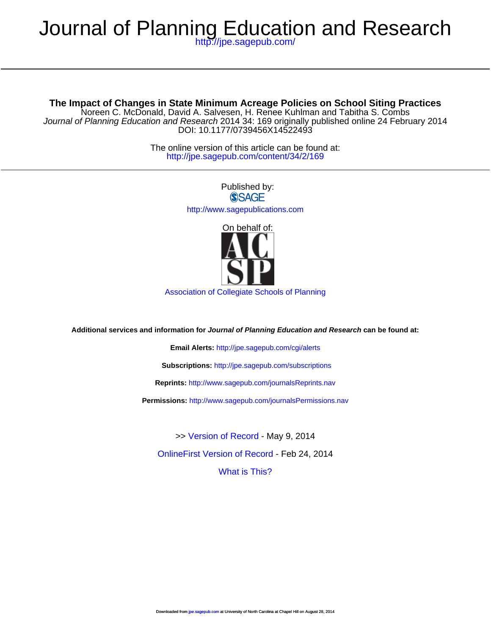# Journal of Planning Education and Research

<http://jpe.sagepub.com/>

## **The Impact of Changes in State Minimum Acreage Policies on School Siting Practices**

DOI: 10.1177/0739456X14522493 Journal of Planning Education and Research 2014 34: 169 originally published online 24 February 2014 Noreen C. McDonald, David A. Salvesen, H. Renee Kuhlman and Tabitha S. Combs

> <http://jpe.sagepub.com/content/34/2/169> The online version of this article can be found at:



[Association of Collegiate Schools of Planning](http://www.acsp.org/)

**Additional services and information for Journal of Planning Education and Research can be found at:**

**Email Alerts:** <http://jpe.sagepub.com/cgi/alerts>

**Subscriptions:** <http://jpe.sagepub.com/subscriptions>

**Reprints:** <http://www.sagepub.com/journalsReprints.nav>

**Permissions:** <http://www.sagepub.com/journalsPermissions.nav>

[OnlineFirst Version of Record -](http://jpe.sagepub.com/content/early/2014/02/20/0739456X14522493.full.pdf) Feb 24, 2014 >> [Version of Record -](http://jpe.sagepub.com/content/34/2/169.full.pdf) May 9, 2014

[What is This?](http://online.sagepub.com/site/sphelp/vorhelp.xhtml)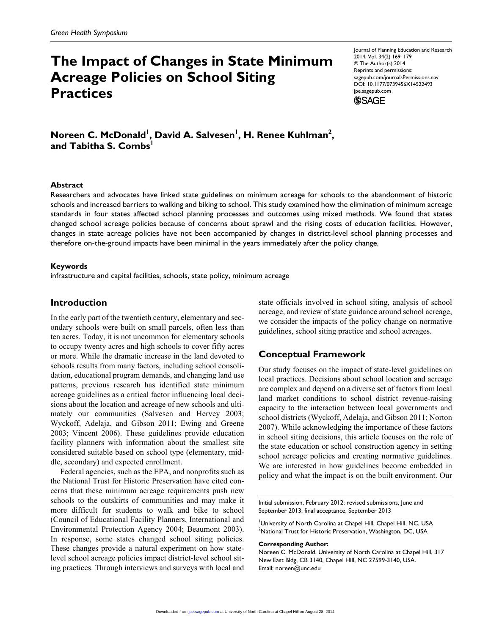## **The Impact of Changes in State Minimum Acreage Policies on School Siting Practices**

Journal of Planning Education and Research 2014, Vol. 34(2) 169–179 © The Author(s) 2014 Reprints and permissions: sagepub.com/journalsPermissions.nav DOI: 10.1177/0739456X14522493 jpe.sagepub.com



 $\mathsf{N}$ oreen **C. McDonald<sup>1</sup>, David A. Salvesen<sup>1</sup>, H. Renee Kuhlman<sup>2</sup>, and Tabitha S. Combs1**

### **Abstract**

Researchers and advocates have linked state guidelines on minimum acreage for schools to the abandonment of historic schools and increased barriers to walking and biking to school. This study examined how the elimination of minimum acreage standards in four states affected school planning processes and outcomes using mixed methods. We found that states changed school acreage policies because of concerns about sprawl and the rising costs of education facilities. However, changes in state acreage policies have not been accompanied by changes in district-level school planning processes and therefore on-the-ground impacts have been minimal in the years immediately after the policy change.

#### **Keywords**

infrastructure and capital facilities, schools, state policy, minimum acreage

## **Introduction**

In the early part of the twentieth century, elementary and secondary schools were built on small parcels, often less than ten acres. Today, it is not uncommon for elementary schools to occupy twenty acres and high schools to cover fifty acres or more. While the dramatic increase in the land devoted to schools results from many factors, including school consolidation, educational program demands, and changing land use patterns, previous research has identified state minimum acreage guidelines as a critical factor influencing local decisions about the location and acreage of new schools and ultimately our communities (Salvesen and Hervey 2003; Wyckoff, Adelaja, and Gibson 2011; Ewing and Greene 2003; Vincent 2006). These guidelines provide education facility planners with information about the smallest site considered suitable based on school type (elementary, middle, secondary) and expected enrollment.

Federal agencies, such as the EPA, and nonprofits such as the National Trust for Historic Preservation have cited concerns that these minimum acreage requirements push new schools to the outskirts of communities and may make it more difficult for students to walk and bike to school (Council of Educational Facility Planners, International and Environmental Protection Agency 2004; Beaumont 2003). In response, some states changed school siting policies. These changes provide a natural experiment on how statelevel school acreage policies impact district-level school siting practices. Through interviews and surveys with local and state officials involved in school siting, analysis of school acreage, and review of state guidance around school acreage, we consider the impacts of the policy change on normative guidelines, school siting practice and school acreages.

## **Conceptual Framework**

Our study focuses on the impact of state-level guidelines on local practices. Decisions about school location and acreage are complex and depend on a diverse set of factors from local land market conditions to school district revenue-raising capacity to the interaction between local governments and school districts (Wyckoff, Adelaja, and Gibson 2011; Norton 2007). While acknowledging the importance of these factors in school siting decisions, this article focuses on the role of the state education or school construction agency in setting school acreage policies and creating normative guidelines. We are interested in how guidelines become embedded in policy and what the impact is on the built environment. Our

Initial submission, February 2012; revised submissions, June and September 2013; final acceptance, September 2013

<sup>1</sup>University of North Carolina at Chapel Hill, Chapel Hill, NC, USA  $^{2}$ National Trust for Historic Preservation, Washington, DC, USA

#### **Corresponding Author:**

Noreen C. McDonald, University of North Carolina at Chapel Hill, 317 New East Bldg, CB 3140, Chapel Hill, NC 27599-3140, USA. Email: noreen@unc.edu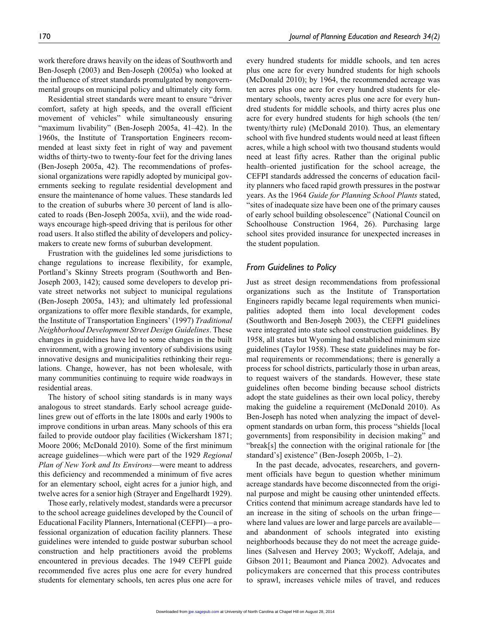work therefore draws heavily on the ideas of Southworth and Ben-Joseph (2003) and Ben-Joseph (2005a) who looked at the influence of street standards promulgated by nongovernmental groups on municipal policy and ultimately city form.

Residential street standards were meant to ensure "driver comfort, safety at high speeds, and the overall efficient movement of vehicles" while simultaneously ensuring "maximum livability" (Ben-Joseph 2005a, 41–42). In the 1960s, the Institute of Transportation Engineers recommended at least sixty feet in right of way and pavement widths of thirty-two to twenty-four feet for the driving lanes (Ben-Joseph 2005a, 42). The recommendations of professional organizations were rapidly adopted by municipal governments seeking to regulate residential development and ensure the maintenance of home values. These standards led to the creation of suburbs where 30 percent of land is allocated to roads (Ben-Joseph 2005a, xvii), and the wide roadways encourage high-speed driving that is perilous for other road users. It also stifled the ability of developers and policymakers to create new forms of suburban development.

Frustration with the guidelines led some jurisdictions to change regulations to increase flexibility, for example, Portland's Skinny Streets program (Southworth and Ben-Joseph 2003, 142); caused some developers to develop private street networks not subject to municipal regulations (Ben-Joseph 2005a, 143); and ultimately led professional organizations to offer more flexible standards, for example, the Institute of Transportation Engineers' (1997) *Traditional Neighborhood Development Street Design Guidelines*. These changes in guidelines have led to some changes in the built environment, with a growing inventory of subdivisions using innovative designs and municipalities rethinking their regulations. Change, however, has not been wholesale, with many communities continuing to require wide roadways in residential areas.

The history of school siting standards is in many ways analogous to street standards. Early school acreage guidelines grew out of efforts in the late 1800s and early 1900s to improve conditions in urban areas. Many schools of this era failed to provide outdoor play facilities (Wickersham 1871; Moore 2006; McDonald 2010). Some of the first minimum acreage guidelines—which were part of the 1929 *Regional Plan of New York and Its Environs*—were meant to address this deficiency and recommended a minimum of five acres for an elementary school, eight acres for a junior high, and twelve acres for a senior high (Strayer and Engelhardt 1929).

Those early, relatively modest, standards were a precursor to the school acreage guidelines developed by the Council of Educational Facility Planners, International (CEFPI)—a professional organization of education facility planners. These guidelines were intended to guide postwar suburban school construction and help practitioners avoid the problems encountered in previous decades. The 1949 CEFPI guide recommended five acres plus one acre for every hundred students for elementary schools, ten acres plus one acre for

every hundred students for middle schools, and ten acres plus one acre for every hundred students for high schools (McDonald 2010); by 1964, the recommended acreage was ten acres plus one acre for every hundred students for elementary schools, twenty acres plus one acre for every hundred students for middle schools, and thirty acres plus one acre for every hundred students for high schools (the ten/ twenty/thirty rule) (McDonald 2010). Thus, an elementary school with five hundred students would need at least fifteen acres, while a high school with two thousand students would need at least fifty acres. Rather than the original public health–oriented justification for the school acreage, the CEFPI standards addressed the concerns of education facility planners who faced rapid growth pressures in the postwar years. As the 1964 *Guide for Planning School Plants* stated, "sites of inadequate size have been one of the primary causes of early school building obsolescence" (National Council on Schoolhouse Construction 1964, 26). Purchasing large school sites provided insurance for unexpected increases in the student population.

### *From Guidelines to Policy*

Just as street design recommendations from professional organizations such as the Institute of Transportation Engineers rapidly became legal requirements when municipalities adopted them into local development codes (Southworth and Ben-Joseph 2003), the CEFPI guidelines were integrated into state school construction guidelines. By 1958, all states but Wyoming had established minimum size guidelines (Taylor 1958). These state guidelines may be formal requirements or recommendations; there is generally a process for school districts, particularly those in urban areas, to request waivers of the standards. However, these state guidelines often become binding because school districts adopt the state guidelines as their own local policy, thereby making the guideline a requirement (McDonald 2010). As Ben-Joseph has noted when analyzing the impact of development standards on urban form, this process "shields [local governments] from responsibility in decision making" and "break[s] the connection with the original rationale for [the standard's] existence" (Ben-Joseph 2005b, 1–2).

In the past decade, advocates, researchers, and government officials have begun to question whether minimum acreage standards have become disconnected from the original purpose and might be causing other unintended effects. Critics contend that minimum acreage standards have led to an increase in the siting of schools on the urban fringe where land values are lower and large parcels are available and abandonment of schools integrated into existing neighborhoods because they do not meet the acreage guidelines (Salvesen and Hervey 2003; Wyckoff, Adelaja, and Gibson 2011; Beaumont and Pianca 2002). Advocates and policymakers are concerned that this process contributes to sprawl, increases vehicle miles of travel, and reduces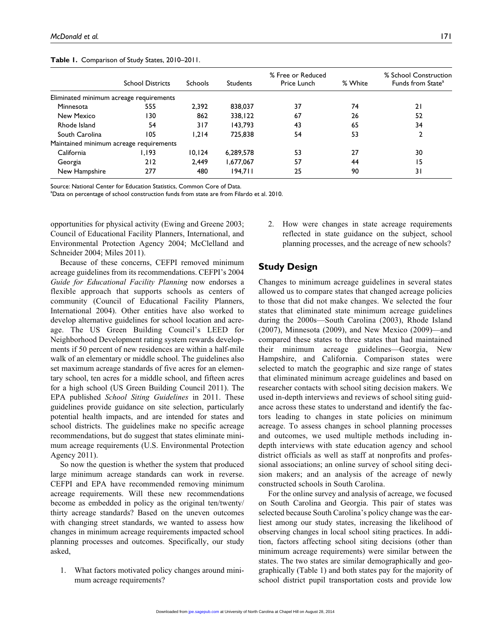|                                         |                         |         |                 | % Free or Reduced      |    | % School Construction         |  |
|-----------------------------------------|-------------------------|---------|-----------------|------------------------|----|-------------------------------|--|
|                                         | <b>School Districts</b> | Schools | <b>Students</b> | % White<br>Price Lunch |    | Funds from State <sup>a</sup> |  |
| Eliminated minimum acreage requirements |                         |         |                 |                        |    |                               |  |
| Minnesota                               | 555                     | 2.392   | 838,037         | 37                     | 74 | 21                            |  |
| New Mexico                              | 130                     | 862     | 338,122         | 67                     | 26 | 52                            |  |
| Rhode Island                            | 54                      | 317     | 143.793         | 43                     | 65 | 34                            |  |
| South Carolina                          | 105                     | 1.214   | 725,838         | 54                     | 53 | 2                             |  |
| Maintained minimum acreage requirements |                         |         |                 |                        |    |                               |  |
| California                              | I.I93                   | 10.124  | 6,289,578       | 53                     | 27 | 30                            |  |
| Georgia                                 | 212                     | 2.449   | 1,677,067       | 57                     | 44 | 15                            |  |
| New Hampshire                           | 277                     | 480     | 194.711         | 25                     | 90 | 31                            |  |

**Table 1.** Comparison of Study States, 2010–2011.

Source: National Center for Education Statistics, Common Core of Data.

<sup>a</sup>Data on percentage of school construction funds from state are from Filardo et al. 2010.

opportunities for physical activity (Ewing and Greene 2003; Council of Educational Facility Planners, International, and Environmental Protection Agency 2004; McClelland and Schneider 2004; Miles 2011).

Because of these concerns, CEFPI removed minimum acreage guidelines from its recommendations. CEFPI's 2004 *Guide for Educational Facility Planning* now endorses a flexible approach that supports schools as centers of community (Council of Educational Facility Planners, International 2004). Other entities have also worked to develop alternative guidelines for school location and acreage. The US Green Building Council's LEED for Neighborhood Development rating system rewards developments if 50 percent of new residences are within a half-mile walk of an elementary or middle school. The guidelines also set maximum acreage standards of five acres for an elementary school, ten acres for a middle school, and fifteen acres for a high school (US Green Building Council 2011). The EPA published *School Siting Guidelines* in 2011. These guidelines provide guidance on site selection, particularly potential health impacts, and are intended for states and school districts. The guidelines make no specific acreage recommendations, but do suggest that states eliminate minimum acreage requirements (U.S. Environmental Protection Agency 2011).

So now the question is whether the system that produced large minimum acreage standards can work in reverse. CEFPI and EPA have recommended removing minimum acreage requirements. Will these new recommendations become as embedded in policy as the original ten/twenty/ thirty acreage standards? Based on the uneven outcomes with changing street standards, we wanted to assess how changes in minimum acreage requirements impacted school planning processes and outcomes. Specifically, our study asked,

1. What factors motivated policy changes around minimum acreage requirements?

2. How were changes in state acreage requirements reflected in state guidance on the subject, school planning processes, and the acreage of new schools?

## **Study Design**

Changes to minimum acreage guidelines in several states allowed us to compare states that changed acreage policies to those that did not make changes. We selected the four states that eliminated state minimum acreage guidelines during the 2000s—South Carolina (2003), Rhode Island (2007), Minnesota (2009), and New Mexico (2009)—and compared these states to three states that had maintained their minimum acreage guidelines—Georgia, New Hampshire, and California. Comparison states were selected to match the geographic and size range of states that eliminated minimum acreage guidelines and based on researcher contacts with school siting decision makers. We used in-depth interviews and reviews of school siting guidance across these states to understand and identify the factors leading to changes in state policies on minimum acreage. To assess changes in school planning processes and outcomes, we used multiple methods including indepth interviews with state education agency and school district officials as well as staff at nonprofits and professional associations; an online survey of school siting decision makers; and an analysis of the acreage of newly constructed schools in South Carolina.

For the online survey and analysis of acreage, we focused on South Carolina and Georgia. This pair of states was selected because South Carolina's policy change was the earliest among our study states, increasing the likelihood of observing changes in local school siting practices. In addition, factors affecting school siting decisions (other than minimum acreage requirements) were similar between the states. The two states are similar demographically and geographically (Table 1) and both states pay for the majority of school district pupil transportation costs and provide low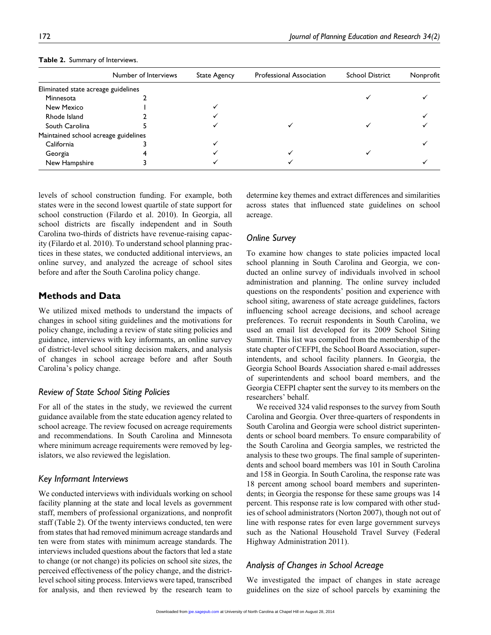|                                      | Number of Interviews | <b>State Agency</b> | <b>Professional Association</b> | <b>School District</b> | Nonprofit |
|--------------------------------------|----------------------|---------------------|---------------------------------|------------------------|-----------|
| Eliminated state acreage guidelines  |                      |                     |                                 |                        |           |
| Minnesota                            |                      |                     |                                 |                        |           |
| New Mexico                           |                      |                     |                                 |                        |           |
| Rhode Island                         |                      |                     |                                 |                        |           |
| South Carolina                       |                      |                     |                                 |                        |           |
| Maintained school acreage guidelines |                      |                     |                                 |                        |           |
| California                           |                      |                     |                                 |                        |           |
| Georgia                              |                      |                     |                                 |                        |           |
| New Hampshire                        |                      |                     |                                 |                        |           |

#### **Table 2.** Summary of Interviews.

levels of school construction funding. For example, both states were in the second lowest quartile of state support for school construction (Filardo et al. 2010). In Georgia, all school districts are fiscally independent and in South Carolina two-thirds of districts have revenue-raising capacity (Filardo et al. 2010). To understand school planning practices in these states, we conducted additional interviews, an online survey, and analyzed the acreage of school sites before and after the South Carolina policy change.

## **Methods and Data**

We utilized mixed methods to understand the impacts of changes in school siting guidelines and the motivations for policy change, including a review of state siting policies and guidance, interviews with key informants, an online survey of district-level school siting decision makers, and analysis of changes in school acreage before and after South Carolina's policy change.

## *Review of State School Siting Policies*

For all of the states in the study, we reviewed the current guidance available from the state education agency related to school acreage. The review focused on acreage requirements and recommendations. In South Carolina and Minnesota where minimum acreage requirements were removed by legislators, we also reviewed the legislation.

## *Key Informant Interviews*

We conducted interviews with individuals working on school facility planning at the state and local levels as government staff, members of professional organizations, and nonprofit staff (Table 2). Of the twenty interviews conducted, ten were from states that had removed minimum acreage standards and ten were from states with minimum acreage standards. The interviews included questions about the factors that led a state to change (or not change) its policies on school site sizes, the perceived effectiveness of the policy change, and the districtlevel school siting process. Interviews were taped, transcribed for analysis, and then reviewed by the research team to

determine key themes and extract differences and similarities across states that influenced state guidelines on school acreage.

## *Online Survey*

To examine how changes to state policies impacted local school planning in South Carolina and Georgia, we conducted an online survey of individuals involved in school administration and planning. The online survey included questions on the respondents' position and experience with school siting, awareness of state acreage guidelines, factors influencing school acreage decisions, and school acreage preferences. To recruit respondents in South Carolina, we used an email list developed for its 2009 School Siting Summit. This list was compiled from the membership of the state chapter of CEFPI, the School Board Association, superintendents, and school facility planners. In Georgia, the Georgia School Boards Association shared e-mail addresses of superintendents and school board members, and the Georgia CEFPI chapter sent the survey to its members on the researchers' behalf.

We received 324 valid responses to the survey from South Carolina and Georgia. Over three-quarters of respondents in South Carolina and Georgia were school district superintendents or school board members. To ensure comparability of the South Carolina and Georgia samples, we restricted the analysis to these two groups. The final sample of superintendents and school board members was 101 in South Carolina and 158 in Georgia. In South Carolina, the response rate was 18 percent among school board members and superintendents; in Georgia the response for these same groups was 14 percent. This response rate is low compared with other studies of school administrators (Norton 2007), though not out of line with response rates for even large government surveys such as the National Household Travel Survey (Federal Highway Administration 2011).

## *Analysis of Changes in School Acreage*

We investigated the impact of changes in state acreage guidelines on the size of school parcels by examining the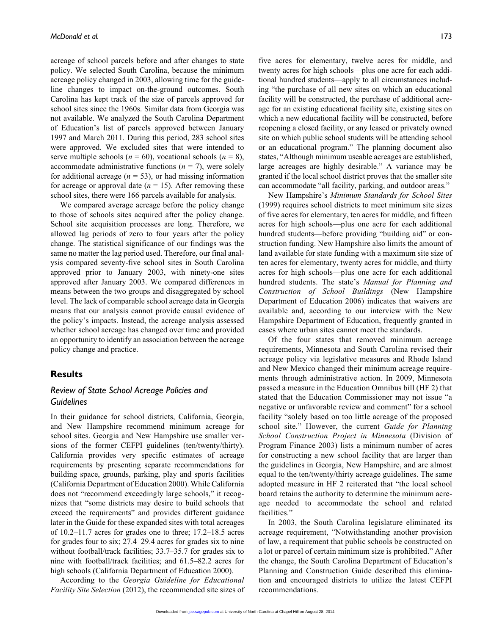acreage of school parcels before and after changes to state policy. We selected South Carolina, because the minimum acreage policy changed in 2003, allowing time for the guideline changes to impact on-the-ground outcomes. South Carolina has kept track of the size of parcels approved for school sites since the 1960s. Similar data from Georgia was not available. We analyzed the South Carolina Department of Education's list of parcels approved between January 1997 and March 2011. During this period, 283 school sites were approved. We excluded sites that were intended to serve multiple schools ( $n = 60$ ), vocational schools ( $n = 8$ ), accommodate administrative functions  $(n = 7)$ , were solely for additional acreage  $(n = 53)$ , or had missing information for acreage or approval date  $(n = 15)$ . After removing these school sites, there were 166 parcels available for analysis.

We compared average acreage before the policy change to those of schools sites acquired after the policy change. School site acquisition processes are long. Therefore, we allowed lag periods of zero to four years after the policy change. The statistical significance of our findings was the same no matter the lag period used. Therefore, our final analysis compared seventy-five school sites in South Carolina approved prior to January 2003, with ninety-one sites approved after January 2003. We compared differences in means between the two groups and disaggregated by school level. The lack of comparable school acreage data in Georgia means that our analysis cannot provide causal evidence of the policy's impacts. Instead, the acreage analysis assessed whether school acreage has changed over time and provided an opportunity to identify an association between the acreage policy change and practice.

## **Results**

## *Review of State School Acreage Policies and Guidelines*

In their guidance for school districts, California, Georgia, and New Hampshire recommend minimum acreage for school sites. Georgia and New Hampshire use smaller versions of the former CEFPI guidelines (ten/twenty/thirty). California provides very specific estimates of acreage requirements by presenting separate recommendations for building space, grounds, parking, play and sports facilities (California Department of Education 2000). While California does not "recommend exceedingly large schools," it recognizes that "some districts may desire to build schools that exceed the requirements" and provides different guidance later in the Guide for these expanded sites with total acreages of 10.2–11.7 acres for grades one to three; 17.2–18.5 acres for grades four to six; 27.4–29.4 acres for grades six to nine without football/track facilities; 33.7–35.7 for grades six to nine with football/track facilities; and 61.5–82.2 acres for high schools (California Department of Education 2000).

According to the *Georgia Guideline for Educational Facility Site Selection* (2012), the recommended site sizes of five acres for elementary, twelve acres for middle, and twenty acres for high schools—plus one acre for each additional hundred students—apply to all circumstances including "the purchase of all new sites on which an educational facility will be constructed, the purchase of additional acreage for an existing educational facility site, existing sites on which a new educational facility will be constructed, before reopening a closed facility, or any leased or privately owned site on which public school students will be attending school or an educational program." The planning document also states, "Although minimum useable acreages are established, large acreages are highly desirable." A variance may be granted if the local school district proves that the smaller site can accommodate "all facility, parking, and outdoor areas."

New Hampshire's *Minimum Standards for School Sites* (1999) requires school districts to meet minimum site sizes of five acres for elementary, ten acres for middle, and fifteen acres for high schools—plus one acre for each additional hundred students—before providing "building aid" or construction funding. New Hampshire also limits the amount of land available for state funding with a maximum site size of ten acres for elementary, twenty acres for middle, and thirty acres for high schools—plus one acre for each additional hundred students. The state's *Manual for Planning and Construction of School Buildings* (New Hampshire Department of Education 2006) indicates that waivers are available and, according to our interview with the New Hampshire Department of Education, frequently granted in cases where urban sites cannot meet the standards.

Of the four states that removed minimum acreage requirements, Minnesota and South Carolina revised their acreage policy via legislative measures and Rhode Island and New Mexico changed their minimum acreage requirements through administrative action. In 2009, Minnesota passed a measure in the Education Omnibus bill (HF 2) that stated that the Education Commissioner may not issue "a negative or unfavorable review and comment" for a school facility "solely based on too little acreage of the proposed school site." However, the current *Guide for Planning School Construction Project in Minnesota* (Division of Program Finance 2003) lists a minimum number of acres for constructing a new school facility that are larger than the guidelines in Georgia, New Hampshire, and are almost equal to the ten/twenty/thirty acreage guidelines. The same adopted measure in HF 2 reiterated that "the local school board retains the authority to determine the minimum acreage needed to accommodate the school and related facilities."

In 2003, the South Carolina legislature eliminated its acreage requirement, "Notwithstanding another provision of law, a requirement that public schools be constructed on a lot or parcel of certain minimum size is prohibited." After the change, the South Carolina Department of Education's Planning and Construction Guide described this elimination and encouraged districts to utilize the latest CEFPI recommendations.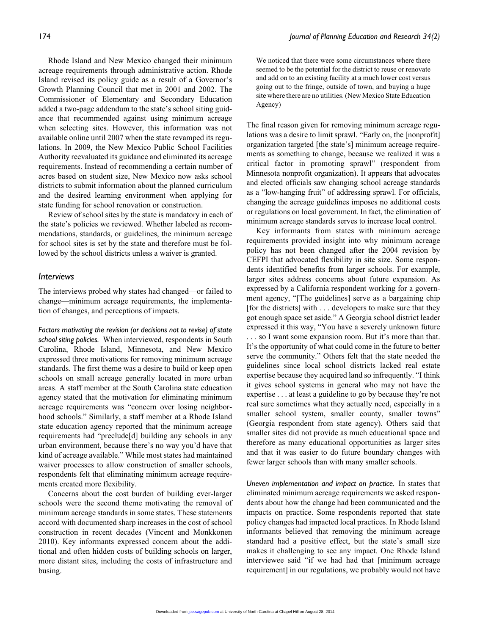Rhode Island and New Mexico changed their minimum acreage requirements through administrative action. Rhode Island revised its policy guide as a result of a Governor's Growth Planning Council that met in 2001 and 2002. The Commissioner of Elementary and Secondary Education added a two-page addendum to the state's school siting guidance that recommended against using minimum acreage when selecting sites. However, this information was not available online until 2007 when the state revamped its regulations. In 2009, the New Mexico Public School Facilities Authority reevaluated its guidance and eliminated its acreage requirements. Instead of recommending a certain number of acres based on student size, New Mexico now asks school districts to submit information about the planned curriculum and the desired learning environment when applying for state funding for school renovation or construction.

Review of school sites by the state is mandatory in each of the state's policies we reviewed. Whether labeled as recommendations, standards, or guidelines, the minimum acreage for school sites is set by the state and therefore must be followed by the school districts unless a waiver is granted.

### *Interviews*

The interviews probed why states had changed—or failed to change—minimum acreage requirements, the implementation of changes, and perceptions of impacts.

*Factors motivating the revision (or decisions not to revise) of state school siting policies.* When interviewed, respondents in South Carolina, Rhode Island, Minnesota, and New Mexico expressed three motivations for removing minimum acreage standards. The first theme was a desire to build or keep open schools on small acreage generally located in more urban areas. A staff member at the South Carolina state education agency stated that the motivation for eliminating minimum acreage requirements was "concern over losing neighborhood schools." Similarly, a staff member at a Rhode Island state education agency reported that the minimum acreage requirements had "preclude[d] building any schools in any urban environment, because there's no way you'd have that kind of acreage available." While most states had maintained waiver processes to allow construction of smaller schools, respondents felt that eliminating minimum acreage requirements created more flexibility.

Concerns about the cost burden of building ever-larger schools were the second theme motivating the removal of minimum acreage standards in some states. These statements accord with documented sharp increases in the cost of school construction in recent decades (Vincent and Monkkonen 2010). Key informants expressed concern about the additional and often hidden costs of building schools on larger, more distant sites, including the costs of infrastructure and busing.

We noticed that there were some circumstances where there seemed to be the potential for the district to reuse or renovate and add on to an existing facility at a much lower cost versus going out to the fringe, outside of town, and buying a huge site where there are no utilities. (New Mexico State Education Agency)

The final reason given for removing minimum acreage regulations was a desire to limit sprawl. "Early on, the [nonprofit] organization targeted [the state's] minimum acreage requirements as something to change, because we realized it was a critical factor in promoting sprawl" (respondent from Minnesota nonprofit organization). It appears that advocates and elected officials saw changing school acreage standards as a "low-hanging fruit" of addressing sprawl. For officials, changing the acreage guidelines imposes no additional costs or regulations on local government. In fact, the elimination of minimum acreage standards serves to increase local control.

Key informants from states with minimum acreage requirements provided insight into why minimum acreage policy has not been changed after the 2004 revision by CEFPI that advocated flexibility in site size. Some respondents identified benefits from larger schools. For example, larger sites address concerns about future expansion. As expressed by a California respondent working for a government agency, "[The guidelines] serve as a bargaining chip [for the districts] with . . . developers to make sure that they got enough space set aside." A Georgia school district leader expressed it this way, "You have a severely unknown future . . . so I want some expansion room. But it's more than that. It's the opportunity of what could come in the future to better serve the community." Others felt that the state needed the guidelines since local school districts lacked real estate expertise because they acquired land so infrequently. "I think it gives school systems in general who may not have the expertise . . . at least a guideline to go by because they're not real sure sometimes what they actually need, especially in a smaller school system, smaller county, smaller towns" (Georgia respondent from state agency). Others said that smaller sites did not provide as much educational space and therefore as many educational opportunities as larger sites and that it was easier to do future boundary changes with fewer larger schools than with many smaller schools.

*Uneven implementation and impact on practice.* In states that eliminated minimum acreage requirements we asked respondents about how the change had been communicated and the impacts on practice. Some respondents reported that state policy changes had impacted local practices. In Rhode Island informants believed that removing the minimum acreage standard had a positive effect, but the state's small size makes it challenging to see any impact. One Rhode Island interviewee said "if we had had that [minimum acreage requirement] in our regulations, we probably would not have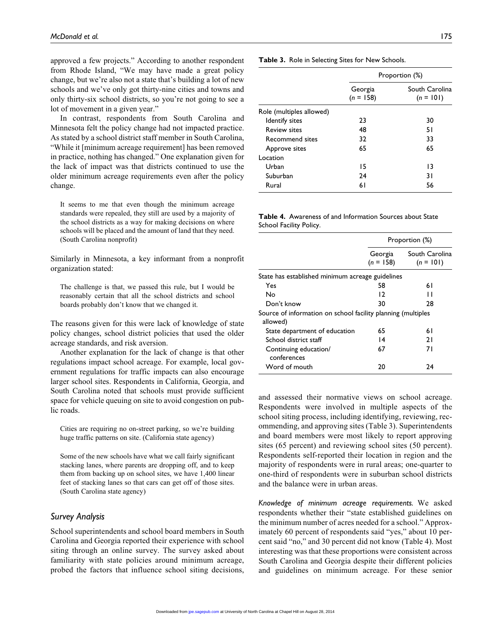approved a few projects." According to another respondent from Rhode Island, "We may have made a great policy change, but we're also not a state that's building a lot of new schools and we've only got thirty-nine cities and towns and only thirty-six school districts, so you're not going to see a lot of movement in a given year."

In contrast, respondents from South Carolina and Minnesota felt the policy change had not impacted practice. As stated by a school district staff member in South Carolina, "While it [minimum acreage requirement] has been removed in practice, nothing has changed." One explanation given for the lack of impact was that districts continued to use the older minimum acreage requirements even after the policy change.

It seems to me that even though the minimum acreage standards were repealed, they still are used by a majority of the school districts as a way for making decisions on where schools will be placed and the amount of land that they need. (South Carolina nonprofit)

Similarly in Minnesota, a key informant from a nonprofit organization stated:

The challenge is that, we passed this rule, but I would be reasonably certain that all the school districts and school boards probably don't know that we changed it.

The reasons given for this were lack of knowledge of state policy changes, school district policies that used the older acreage standards, and risk aversion.

Another explanation for the lack of change is that other regulations impact school acreage. For example, local government regulations for traffic impacts can also encourage larger school sites. Respondents in California, Georgia, and South Carolina noted that schools must provide sufficient space for vehicle queuing on site to avoid congestion on public roads.

Cities are requiring no on-street parking, so we're building huge traffic patterns on site. (California state agency)

Some of the new schools have what we call fairly significant stacking lanes, where parents are dropping off, and to keep them from backing up on school sites, we have 1,400 linear feet of stacking lanes so that cars can get off of those sites. (South Carolina state agency)

#### *Survey Analysis*

School superintendents and school board members in South Carolina and Georgia reported their experience with school siting through an online survey. The survey asked about familiarity with state policies around minimum acreage, probed the factors that influence school siting decisions,

| Table 3. Role in Selecting Sites for New Schools. |  |
|---------------------------------------------------|--|
|---------------------------------------------------|--|

|                          | Proportion (%)         |                               |  |
|--------------------------|------------------------|-------------------------------|--|
|                          | Georgia<br>$(n = 158)$ | South Carolina<br>$(n = 101)$ |  |
| Role (multiples allowed) |                        |                               |  |
| Identify sites           | 23                     | 30                            |  |
| <b>Review sites</b>      | 48                     | 51                            |  |
| <b>Recommend sites</b>   | 32                     | 33                            |  |
| Approve sites            | 65                     | 65                            |  |
| Location                 |                        |                               |  |
| Urban                    | 15                     | 13                            |  |
| Suburban                 | 24                     | 31                            |  |
| Rural                    | 61                     | 56                            |  |

**Table 4.** Awareness of and Information Sources about State School Facility Policy.

|                                                                          |                        | Proportion (%)                |  |  |
|--------------------------------------------------------------------------|------------------------|-------------------------------|--|--|
|                                                                          | Georgia<br>$(n = 158)$ | South Carolina<br>$(n = 101)$ |  |  |
| State has established minimum acreage guidelines                         |                        |                               |  |  |
| Yes                                                                      | 58                     | 61                            |  |  |
| No                                                                       | $\overline{2}$         | $\mathsf{L}$                  |  |  |
| Don't know                                                               | 30                     | 28                            |  |  |
| Source of information on school facility planning (multiples<br>allowed) |                        |                               |  |  |
| State department of education                                            | 65                     | 61                            |  |  |
| School district staff                                                    | 14                     | 21                            |  |  |
| Continuing education/<br>conferences                                     | 67                     | 71                            |  |  |
| Word of mouth                                                            | 20                     | 24                            |  |  |

and assessed their normative views on school acreage. Respondents were involved in multiple aspects of the school siting process, including identifying, reviewing, recommending, and approving sites (Table 3). Superintendents and board members were most likely to report approving sites (65 percent) and reviewing school sites (50 percent). Respondents self-reported their location in region and the majority of respondents were in rural areas; one-quarter to one-third of respondents were in suburban school districts and the balance were in urban areas.

*Knowledge of minimum acreage requirements.* We asked respondents whether their "state established guidelines on the minimum number of acres needed for a school." Approximately 60 percent of respondents said "yes," about 10 percent said "no," and 30 percent did not know (Table 4). Most interesting was that these proportions were consistent across South Carolina and Georgia despite their different policies and guidelines on minimum acreage. For these senior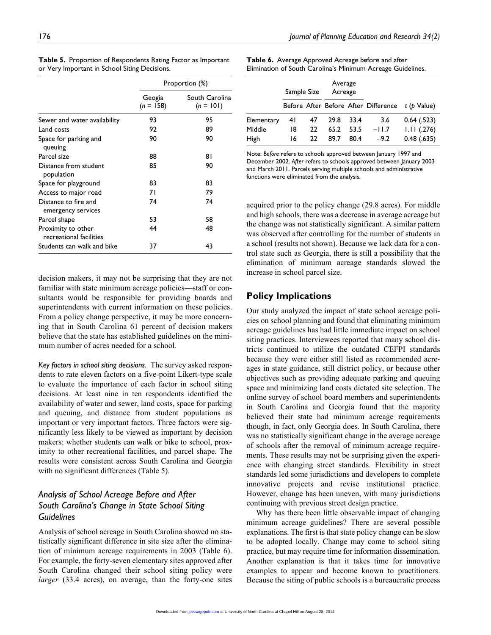|                                               |                       | Proportion (%)                |
|-----------------------------------------------|-----------------------|-------------------------------|
|                                               | Geogia<br>$(n = 158)$ | South Carolina<br>$(n = 101)$ |
| Sewer and water availability                  | 93                    | 95                            |
| Land costs                                    | 92                    | 89                            |
| Space for parking and<br>queuing              | 90                    | 90                            |
| Parcel size                                   | 88                    | 81                            |
| Distance from student<br>population           | 85                    | 90                            |
| Space for playground                          | 83                    | 83                            |
| Access to major road                          | 71                    | 79                            |
| Distance to fire and<br>emergency services    | 74                    | 74                            |
| Parcel shape                                  | 53                    | 58                            |
| Proximity to other<br>recreational facilities | 44                    | 48                            |
| Students can walk and bike                    | 37                    | 43                            |

**Table 5.** Proportion of Respondents Rating Factor as Important or Very Important in School Siting Decisions.

**Table 6.** Average Approved Acreage before and after Elimination of South Carolina's Minimum Acreage Guidelines.

|             | Sample Size |    | Average<br>Acreage |      |                                      |                  |
|-------------|-------------|----|--------------------|------|--------------------------------------|------------------|
|             |             |    |                    |      | Before After Before After Difference | $t$ ( $b$ Value) |
| Elementary  | 41          | 47 | 29.8               | 33.4 | 3.6                                  | 0.64(.523)       |
| Middle      | 18          | 22 | 65.2               | 53.5 | $-11.7$                              | 1.11(0.276)      |
| <b>High</b> | 16          | 22 | 89.7               | 80.4 | $-9.2$                               | 0.48(.635)       |

Note: *Before* refers to schools approved between January 1997 and December 2002. *After* refers to schools approved between January 2003 and March 2011. Parcels serving multiple schools and administrative functions were eliminated from the analysis.

acquired prior to the policy change (29.8 acres). For middle and high schools, there was a decrease in average acreage but the change was not statistically significant. A similar pattern was observed after controlling for the number of students in a school (results not shown). Because we lack data for a control state such as Georgia, there is still a possibility that the elimination of minimum acreage standards slowed the increase in school parcel size.

## **Policy Implications**

Our study analyzed the impact of state school acreage policies on school planning and found that eliminating minimum acreage guidelines has had little immediate impact on school siting practices. Interviewees reported that many school districts continued to utilize the outdated CEFPI standards because they were either still listed as recommended acreages in state guidance, still district policy, or because other objectives such as providing adequate parking and queuing space and minimizing land costs dictated site selection. The online survey of school board members and superintendents in South Carolina and Georgia found that the majority believed their state had minimum acreage requirements though, in fact, only Georgia does. In South Carolina, there was no statistically significant change in the average acreage of schools after the removal of minimum acreage requirements. These results may not be surprising given the experience with changing street standards. Flexibility in street standards led some jurisdictions and developers to complete innovative projects and revise institutional practice. However, change has been uneven, with many jurisdictions continuing with previous street design practice.

Why has there been little observable impact of changing minimum acreage guidelines? There are several possible explanations. The first is that state policy change can be slow to be adopted locally. Change may come to school siting practice, but may require time for information dissemination. Another explanation is that it takes time for innovative examples to appear and become known to practitioners. Because the siting of public schools is a bureaucratic process

decision makers, it may not be surprising that they are not familiar with state minimum acreage policies—staff or consultants would be responsible for providing boards and superintendents with current information on these policies. From a policy change perspective, it may be more concerning that in South Carolina 61 percent of decision makers believe that the state has established guidelines on the minimum number of acres needed for a school.

*Key factors in school siting decisions.* The survey asked respondents to rate eleven factors on a five-point Likert-type scale to evaluate the importance of each factor in school siting decisions. At least nine in ten respondents identified the availability of water and sewer, land costs, space for parking and queuing, and distance from student populations as important or very important factors. Three factors were significantly less likely to be viewed as important by decision makers: whether students can walk or bike to school, proximity to other recreational facilities, and parcel shape. The results were consistent across South Carolina and Georgia with no significant differences (Table 5).

## *Analysis of School Acreage Before and After South Carolina's Change in State School Siting Guidelines*

Analysis of school acreage in South Carolina showed no statistically significant difference in site size after the elimination of minimum acreage requirements in 2003 (Table 6). For example, the forty-seven elementary sites approved after South Carolina changed their school siting policy were *larger* (33.4 acres), on average, than the forty-one sites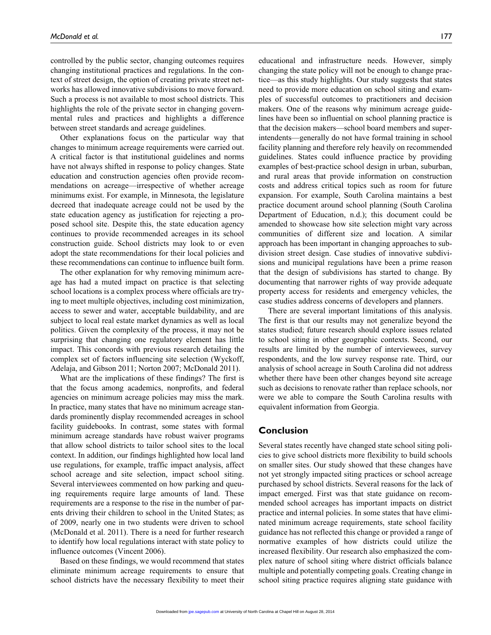controlled by the public sector, changing outcomes requires changing institutional practices and regulations. In the context of street design, the option of creating private street networks has allowed innovative subdivisions to move forward. Such a process is not available to most school districts. This highlights the role of the private sector in changing governmental rules and practices and highlights a difference between street standards and acreage guidelines.

Other explanations focus on the particular way that changes to minimum acreage requirements were carried out. A critical factor is that institutional guidelines and norms have not always shifted in response to policy changes. State education and construction agencies often provide recommendations on acreage—irrespective of whether acreage minimums exist. For example, in Minnesota, the legislature decreed that inadequate acreage could not be used by the state education agency as justification for rejecting a proposed school site. Despite this, the state education agency continues to provide recommended acreages in its school construction guide. School districts may look to or even adopt the state recommendations for their local policies and these recommendations can continue to influence built form.

The other explanation for why removing minimum acreage has had a muted impact on practice is that selecting school locations is a complex process where officials are trying to meet multiple objectives, including cost minimization, access to sewer and water, acceptable buildability, and are subject to local real estate market dynamics as well as local politics. Given the complexity of the process, it may not be surprising that changing one regulatory element has little impact. This concords with previous research detailing the complex set of factors influencing site selection (Wyckoff, Adelaja, and Gibson 2011; Norton 2007; McDonald 2011).

What are the implications of these findings? The first is that the focus among academics, nonprofits, and federal agencies on minimum acreage policies may miss the mark. In practice, many states that have no minimum acreage standards prominently display recommended acreages in school facility guidebooks. In contrast, some states with formal minimum acreage standards have robust waiver programs that allow school districts to tailor school sites to the local context. In addition, our findings highlighted how local land use regulations, for example, traffic impact analysis, affect school acreage and site selection, impact school siting. Several interviewees commented on how parking and queuing requirements require large amounts of land. These requirements are a response to the rise in the number of parents driving their children to school in the United States; as of 2009, nearly one in two students were driven to school (McDonald et al. 2011). There is a need for further research to identify how local regulations interact with state policy to influence outcomes (Vincent 2006).

Based on these findings, we would recommend that states eliminate minimum acreage requirements to ensure that school districts have the necessary flexibility to meet their educational and infrastructure needs. However, simply changing the state policy will not be enough to change practice—as this study highlights. Our study suggests that states need to provide more education on school siting and examples of successful outcomes to practitioners and decision makers. One of the reasons why minimum acreage guidelines have been so influential on school planning practice is that the decision makers—school board members and superintendents—generally do not have formal training in school facility planning and therefore rely heavily on recommended guidelines. States could influence practice by providing examples of best-practice school design in urban, suburban, and rural areas that provide information on construction costs and address critical topics such as room for future expansion. For example, South Carolina maintains a best practice document around school planning (South Carolina Department of Education, n.d.); this document could be amended to showcase how site selection might vary across communities of different size and location. A similar approach has been important in changing approaches to subdivision street design. Case studies of innovative subdivisions and municipal regulations have been a prime reason that the design of subdivisions has started to change. By documenting that narrower rights of way provide adequate property access for residents and emergency vehicles, the case studies address concerns of developers and planners.

There are several important limitations of this analysis. The first is that our results may not generalize beyond the states studied; future research should explore issues related to school siting in other geographic contexts. Second, our results are limited by the number of interviewees, survey respondents, and the low survey response rate. Third, our analysis of school acreage in South Carolina did not address whether there have been other changes beyond site acreage such as decisions to renovate rather than replace schools, nor were we able to compare the South Carolina results with equivalent information from Georgia.

## **Conclusion**

Several states recently have changed state school siting policies to give school districts more flexibility to build schools on smaller sites. Our study showed that these changes have not yet strongly impacted siting practices or school acreage purchased by school districts. Several reasons for the lack of impact emerged. First was that state guidance on recommended school acreages has important impacts on district practice and internal policies. In some states that have eliminated minimum acreage requirements, state school facility guidance has not reflected this change or provided a range of normative examples of how districts could utilize the increased flexibility. Our research also emphasized the complex nature of school siting where district officials balance multiple and potentially competing goals. Creating change in school siting practice requires aligning state guidance with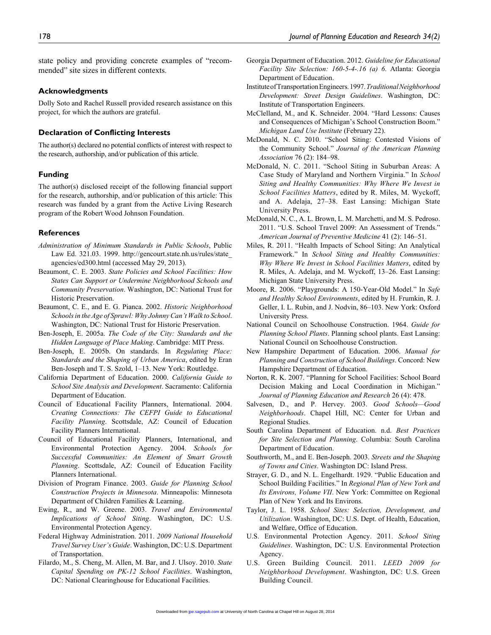state policy and providing concrete examples of "recommended" site sizes in different contexts.

### **Acknowledgments**

Dolly Soto and Rachel Russell provided research assistance on this project, for which the authors are grateful.

#### **Declaration of Conflicting Interests**

The author(s) declared no potential conflicts of interest with respect to the research, authorship, and/or publication of this article.

#### **Funding**

The author(s) disclosed receipt of the following financial support for the research, authorship, and/or publication of this article: This research was funded by a grant from the Active Living Research program of the Robert Wood Johnson Foundation.

#### **References**

- *Administration of Minimum Standards in Public Schools*, Public [Law Ed. 321.03. 1999. http://gencourt.state.nh.us/rules/state\\_](http://gencourt.state.nh.us/rules/state_agencies/ed300.html) agencies/ed300.html (accessed May 29, 2013).
- Beaumont, C. E. 2003. *State Policies and School Facilities: How States Can Support or Undermine Neighborhood Schools and Community Preservation*. Washington, DC: National Trust for Historic Preservation.
- Beaumont, C. E., and E. G. Pianca. 2002. *Historic Neighborhood Schools in the Age of Sprawl: Why Johnny Can't Walk to School*. Washington, DC: National Trust for Historic Preservation.
- Ben-Joseph, E. 2005a. *The Code of the City: Standards and the Hidden Language of Place Making*. Cambridge: MIT Press.
- Ben-Joseph, E. 2005b. On standards. In *Regulating Place: Standards and the Shaping of Urban America*, edited by Eran Ben-Joseph and T. S. Szold, 1–13. New York: Routledge.
- California Department of Education. 2000. *California Guide to School Site Analysis and Development*. Sacramento: California Department of Education.
- Council of Educational Facility Planners, International. 2004. *Creating Connections: The CEFPI Guide to Educational Facility Planning*. Scottsdale, AZ: Council of Education Facility Planners International.
- Council of Educational Facility Planners, International, and Environmental Protection Agency. 2004. *Schools for Successful Communities: An Element of Smart Growth Planning*. Scottsdale, AZ: Council of Education Facility Planners International.
- Division of Program Finance. 2003. *Guide for Planning School Construction Projects in Minnesota*. Minneapolis: Minnesota Department of Children Families & Learning.
- Ewing, R., and W. Greene. 2003. *Travel and Environmental Implications of School Siting*. Washington, DC: U.S. Environmental Protection Agency.
- Federal Highway Administration. 2011. *2009 National Household Travel Survey User's Guide*. Washington, DC: U.S. Department of Transportation.
- Filardo, M., S. Cheng, M. Allen, M. Bar, and J. Ulsoy. 2010. *State Capital Spending on PK-12 School Facilities*. Washington, DC: National Clearinghouse for Educational Facilities.
- Georgia Department of Education. 2012. *Guideline for Educational Facility Site Selection: 160-5-4-.16 (a) 6*. Atlanta: Georgia Department of Education.
- Institute of Transportation Engineers. 1997. *Traditional Neighborhood Development: Street Design Guidelines*. Washington, DC: Institute of Transportation Engineers.
- McClelland, M., and K. Schneider. 2004. "Hard Lessons: Causes and Consequences of Michigan's School Construction Boom." *Michigan Land Use Institute* (February 22).
- McDonald, N. C. 2010. "School Siting: Contested Visions of the Community School." *Journal of the American Planning Association* 76 (2): 184–98.
- McDonald, N. C. 2011. "School Siting in Suburban Areas: A Case Study of Maryland and Northern Virginia." In *School Siting and Healthy Communities: Why Where We Invest in School Facilities Matters*, edited by R. Miles, M. Wyckoff, and A. Adelaja, 27–38. East Lansing: Michigan State University Press.
- McDonald, N. C., A. L. Brown, L. M. Marchetti, and M. S. Pedroso. 2011. "U.S. School Travel 2009: An Assessment of Trends." *American Journal of Preventive Medicine* 41 (2): 146–51.
- Miles, R. 2011. "Health Impacts of School Siting: An Analytical Framework." In *School Siting and Healthy Communities: Why Where We Invest in School Facilities Matters*, edited by R. Miles, A. Adelaja, and M. Wyckoff, 13–26. East Lansing: Michigan State University Press.
- Moore, R. 2006. "Playgrounds: A 150-Year-Old Model." In *Safe and Healthy School Environments*, edited by H. Frumkin, R. J. Geller, I. L. Rubin, and J. Nodvin, 86–103. New York: Oxford University Press.
- National Council on Schoolhouse Construction. 1964. *Guide for Planning School Plants*. Planning school plants. East Lansing: National Council on Schoolhouse Construction.
- New Hampshire Department of Education. 2006. *Manual for Planning and Construction of School Buildings*. Concord: New Hampshire Department of Education.
- Norton, R. K. 2007. "Planning for School Facilities: School Board Decision Making and Local Coordination in Michigan." *Journal of Planning Education and Research* 26 (4): 478.
- Salvesen, D., and P. Hervey. 2003. *Good Schools—Good Neighborhoods*. Chapel Hill, NC: Center for Urban and Regional Studies.
- South Carolina Department of Education. n.d. *Best Practices for Site Selection and Planning*. Columbia: South Carolina Department of Education.
- Southworth, M., and E. Ben-Joseph. 2003. *Streets and the Shaping of Towns and Cities*. Washington DC: Island Press.
- Strayer, G. D., and N. L. Engelhardt. 1929. "Public Education and School Building Facilities." In *Regional Plan of New York and Its Environs, Volume VII*. New York: Committee on Regional Plan of New York and Its Environs.
- Taylor, J. L. 1958. *School Sites: Selection, Development, and Utilization*. Washington, DC: U.S. Dept. of Health, Education, and Welfare, Office of Education.
- U.S. Environmental Protection Agency. 2011. *School Siting Guidelines*. Washington, DC: U.S. Environmental Protection Agency.
- U.S. Green Building Council. 2011. *LEED 2009 for Neighborhood Development*. Washington, DC: U.S. Green Building Council.